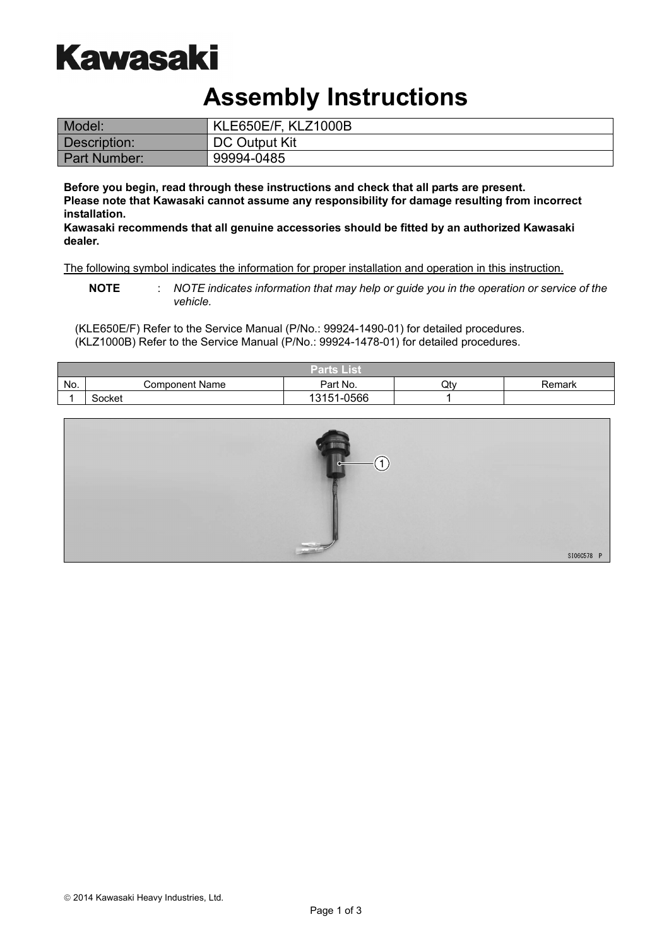# **Kawasaki**

### **Assembly Instructions**

| Model:       | KLE650E/F, KLZ1000B |
|--------------|---------------------|
| Description: | DC Output Kit       |
| Part Number: | 99994-0485          |

**Before you begin, read through these instructions and check that all parts are present. Please note that Kawasaki cannot assume any responsibility for damage resulting from incorrect installation.** 

**Kawasaki recommends that all genuine accessories should be fitted by an authorized Kawasaki dealer.**

The following symbol indicates the information for proper installation and operation in this instruction.

**NOTE** : *NOTE indicates information that may help or guide you in the operation or service of the vehicle.* 

(KLE650E/F) Refer to the Service Manual (P/No.: 99924-1490-01) for detailed procedures. (KLZ1000B) Refer to the Service Manual (P/No.: 99924-1478-01) for detailed procedures.

|     |                       | Parts List |     |        |
|-----|-----------------------|------------|-----|--------|
| No. | <b>Component Name</b> | Part No.   | Qtv | Remark |
|     | Socket                | 13151-0566 |     |        |

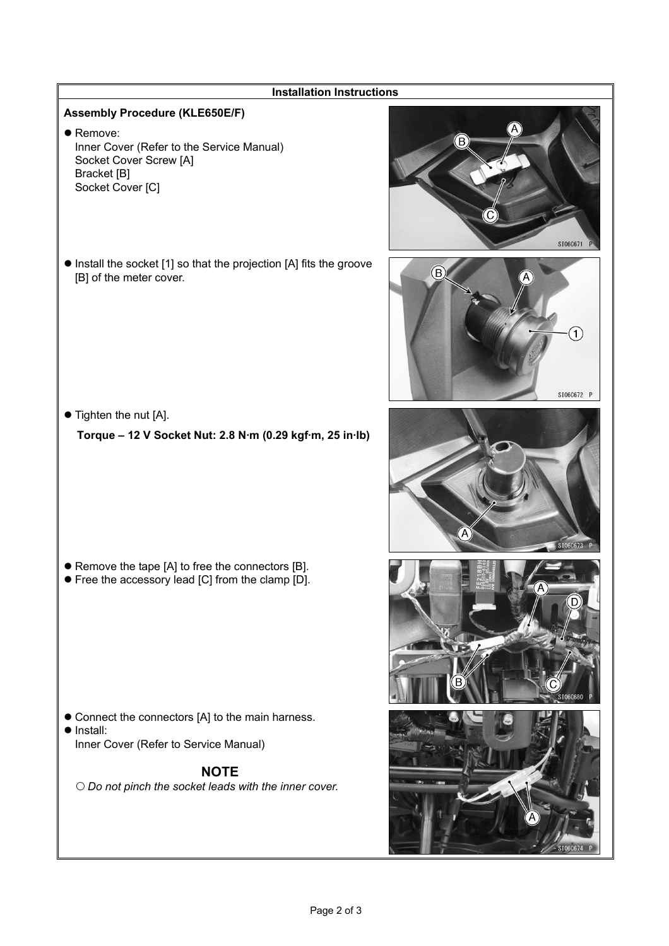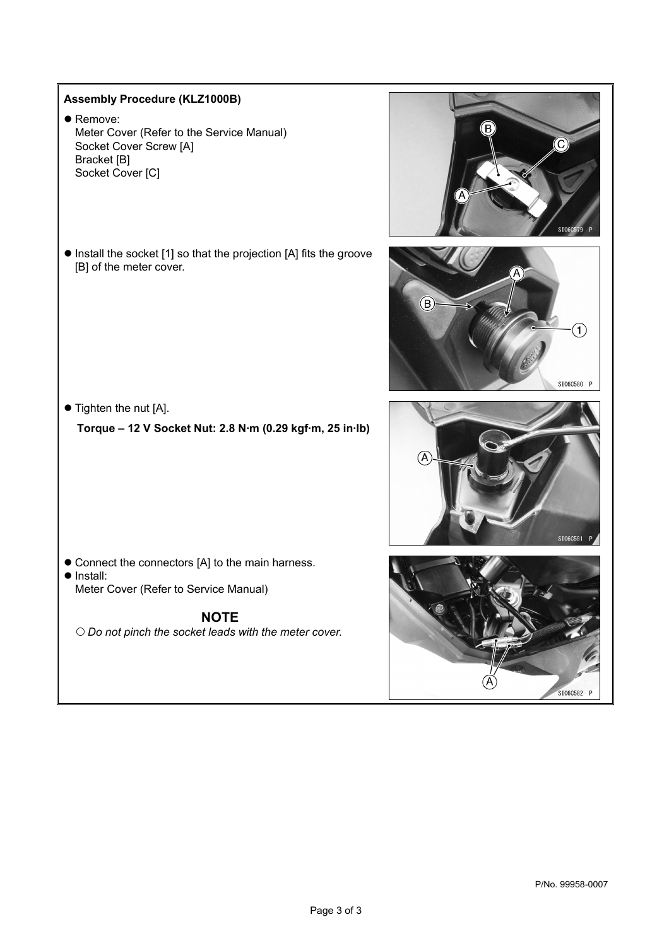